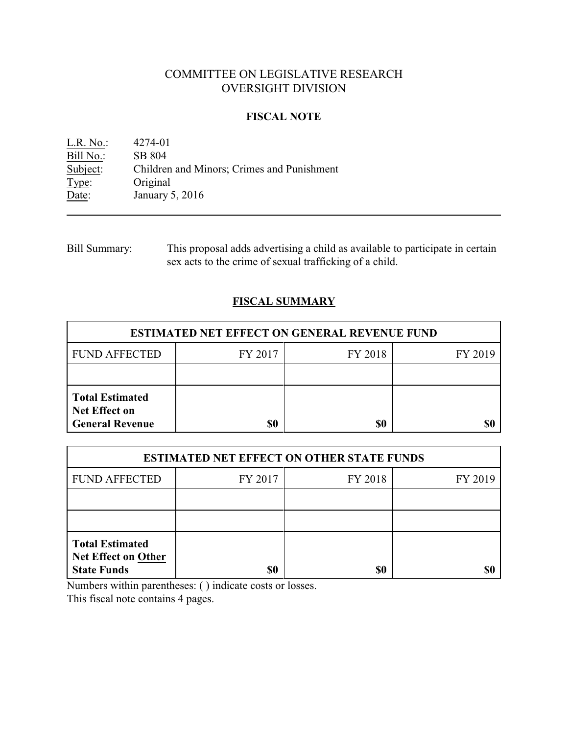# COMMITTEE ON LEGISLATIVE RESEARCH OVERSIGHT DIVISION

# **FISCAL NOTE**

L.R. No.: 4274-01<br>Bill No.: SB 804 Bill No.:<br>Subject: Subject: Children and Minors; Crimes and Punishment<br>Type: Original Type: Original<br>Date: January 5 January 5, 2016

| <b>Bill Summary:</b> | This proposal adds advertising a child as available to participate in certain |
|----------------------|-------------------------------------------------------------------------------|
|                      | sex acts to the crime of sexual trafficking of a child.                       |

# **FISCAL SUMMARY**

| <b>ESTIMATED NET EFFECT ON GENERAL REVENUE FUND</b>                      |         |         |         |  |  |
|--------------------------------------------------------------------------|---------|---------|---------|--|--|
| <b>FUND AFFECTED</b>                                                     | FY 2017 | FY 2018 | FY 2019 |  |  |
|                                                                          |         |         |         |  |  |
| <b>Total Estimated</b><br><b>Net Effect on</b><br><b>General Revenue</b> | \$0     | \$0     |         |  |  |

| <b>ESTIMATED NET EFFECT ON OTHER STATE FUNDS</b>                           |         |         |         |  |  |
|----------------------------------------------------------------------------|---------|---------|---------|--|--|
| <b>FUND AFFECTED</b>                                                       | FY 2017 | FY 2018 | FY 2019 |  |  |
|                                                                            |         |         |         |  |  |
|                                                                            |         |         |         |  |  |
| <b>Total Estimated</b><br><b>Net Effect on Other</b><br><b>State Funds</b> | \$0     | \$0     |         |  |  |

Numbers within parentheses: ( ) indicate costs or losses.

This fiscal note contains 4 pages.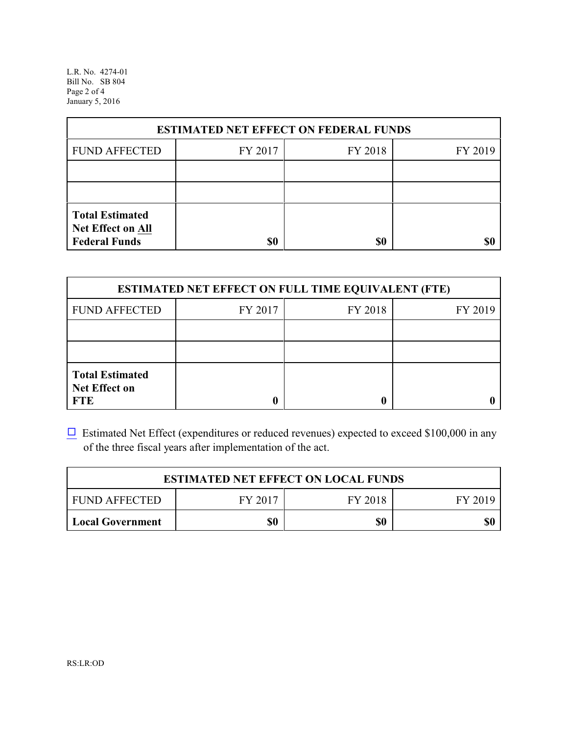L.R. No. 4274-01 Bill No. SB 804 Page 2 of 4 January 5, 2016

| <b>ESTIMATED NET EFFECT ON FEDERAL FUNDS</b>                        |         |         |         |  |  |
|---------------------------------------------------------------------|---------|---------|---------|--|--|
| <b>FUND AFFECTED</b>                                                | FY 2017 | FY 2018 | FY 2019 |  |  |
|                                                                     |         |         |         |  |  |
|                                                                     |         |         |         |  |  |
| <b>Total Estimated</b><br>Net Effect on All<br><b>Federal Funds</b> | \$0     | \$0     |         |  |  |

| <b>ESTIMATED NET EFFECT ON FULL TIME EQUIVALENT (FTE)</b>    |         |         |         |  |  |
|--------------------------------------------------------------|---------|---------|---------|--|--|
| <b>FUND AFFECTED</b>                                         | FY 2017 | FY 2018 | FY 2019 |  |  |
|                                                              |         |         |         |  |  |
|                                                              |         |         |         |  |  |
| <b>Total Estimated</b><br><b>Net Effect on</b><br><b>FTE</b> |         |         |         |  |  |

 $\Box$  Estimated Net Effect (expenditures or reduced revenues) expected to exceed \$100,000 in any of the three fiscal years after implementation of the act.

| <b>ESTIMATED NET EFFECT ON LOCAL FUNDS</b>            |  |  |  |  |  |
|-------------------------------------------------------|--|--|--|--|--|
| FY 2017<br><b>FUND AFFECTED</b><br>FY 2018<br>FY 2019 |  |  |  |  |  |
| \$0<br>\$0<br>\$0<br><b>Local Government</b>          |  |  |  |  |  |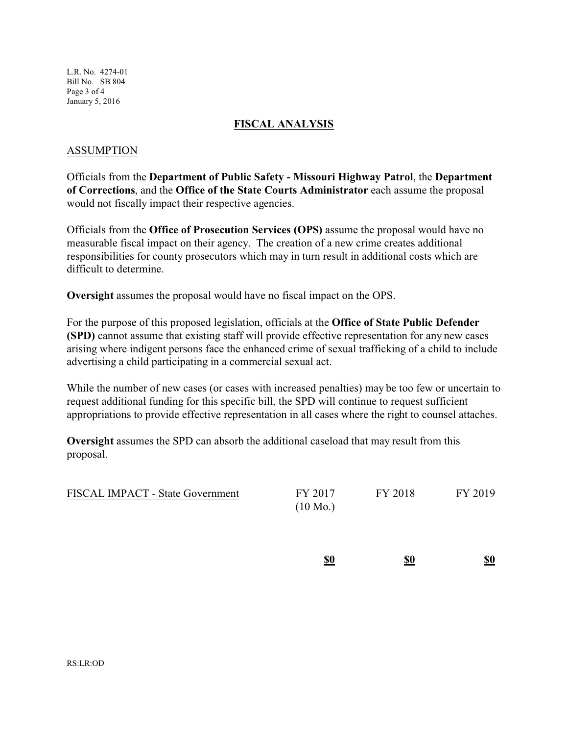L.R. No. 4274-01 Bill No. SB 804 Page 3 of 4 January 5, 2016

#### **FISCAL ANALYSIS**

#### ASSUMPTION

Officials from the **Department of Public Safety - Missouri Highway Patrol**, the **Department of Corrections**, and the **Office of the State Courts Administrator** each assume the proposal would not fiscally impact their respective agencies.

Officials from the **Office of Prosecution Services (OPS)** assume the proposal would have no measurable fiscal impact on their agency. The creation of a new crime creates additional responsibilities for county prosecutors which may in turn result in additional costs which are difficult to determine.

**Oversight** assumes the proposal would have no fiscal impact on the OPS.

For the purpose of this proposed legislation, officials at the **Office of State Public Defender (SPD)** cannot assume that existing staff will provide effective representation for any new cases arising where indigent persons face the enhanced crime of sexual trafficking of a child to include advertising a child participating in a commercial sexual act.

While the number of new cases (or cases with increased penalties) may be too few or uncertain to request additional funding for this specific bill, the SPD will continue to request sufficient appropriations to provide effective representation in all cases where the right to counsel attaches.

**Oversight** assumes the SPD can absorb the additional caseload that may result from this proposal.

| <b>FISCAL IMPACT - State Government</b> | FY 2017            | FY 2018 | FY 2019 |
|-----------------------------------------|--------------------|---------|---------|
|                                         | $(10 \text{ Mo.})$ |         |         |

| \$0 | \$0<br>$\overline{\phantom{a}}$ | \$0 |
|-----|---------------------------------|-----|
|     |                                 |     |